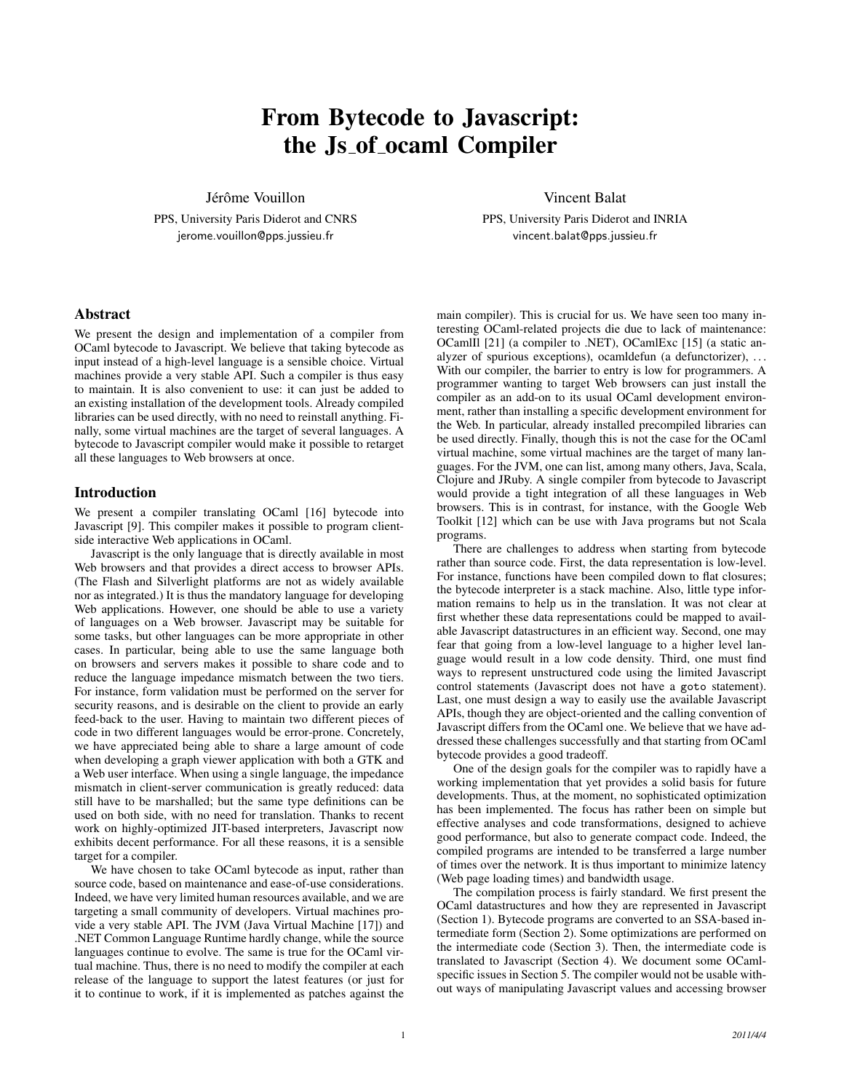# From Bytecode to Javascript: the Js of ocaml Compiler

Jérôme Vouillon

PPS, University Paris Diderot and CNRS jerome.vouillon@pps.jussieu.fr

## Abstract

We present the design and implementation of a compiler from OCaml bytecode to Javascript. We believe that taking bytecode as input instead of a high-level language is a sensible choice. Virtual machines provide a very stable API. Such a compiler is thus easy to maintain. It is also convenient to use: it can just be added to an existing installation of the development tools. Already compiled libraries can be used directly, with no need to reinstall anything. Finally, some virtual machines are the target of several languages. A bytecode to Javascript compiler would make it possible to retarget all these languages to Web browsers at once.

## Introduction

We present a compiler translating OCaml [16] bytecode into Javascript [9]. This compiler makes it possible to program clientside interactive Web applications in OCaml.

Javascript is the only language that is directly available in most Web browsers and that provides a direct access to browser APIs. (The Flash and Silverlight platforms are not as widely available nor as integrated.) It is thus the mandatory language for developing Web applications. However, one should be able to use a variety of languages on a Web browser. Javascript may be suitable for some tasks, but other languages can be more appropriate in other cases. In particular, being able to use the same language both on browsers and servers makes it possible to share code and to reduce the language impedance mismatch between the two tiers. For instance, form validation must be performed on the server for security reasons, and is desirable on the client to provide an early feed-back to the user. Having to maintain two different pieces of code in two different languages would be error-prone. Concretely, we have appreciated being able to share a large amount of code when developing a graph viewer application with both a GTK and a Web user interface. When using a single language, the impedance mismatch in client-server communication is greatly reduced: data still have to be marshalled; but the same type definitions can be used on both side, with no need for translation. Thanks to recent work on highly-optimized JIT-based interpreters, Javascript now exhibits decent performance. For all these reasons, it is a sensible target for a compiler.

We have chosen to take OCaml bytecode as input, rather than source code, based on maintenance and ease-of-use considerations. Indeed, we have very limited human resources available, and we are targeting a small community of developers. Virtual machines provide a very stable API. The JVM (Java Virtual Machine [17]) and .NET Common Language Runtime hardly change, while the source languages continue to evolve. The same is true for the OCaml virtual machine. Thus, there is no need to modify the compiler at each release of the language to support the latest features (or just for it to continue to work, if it is implemented as patches against the Vincent Balat

PPS, University Paris Diderot and INRIA vincent.balat@pps.jussieu.fr

main compiler). This is crucial for us. We have seen too many interesting OCaml-related projects die due to lack of maintenance: OCamlIl [21] (a compiler to .NET), OCamlExc [15] (a static analyzer of spurious exceptions), ocamldefun (a defunctorizer), ... With our compiler, the barrier to entry is low for programmers. A programmer wanting to target Web browsers can just install the compiler as an add-on to its usual OCaml development environment, rather than installing a specific development environment for the Web. In particular, already installed precompiled libraries can be used directly. Finally, though this is not the case for the OCaml virtual machine, some virtual machines are the target of many languages. For the JVM, one can list, among many others, Java, Scala, Clojure and JRuby. A single compiler from bytecode to Javascript would provide a tight integration of all these languages in Web browsers. This is in contrast, for instance, with the Google Web Toolkit [12] which can be use with Java programs but not Scala programs.

There are challenges to address when starting from bytecode rather than source code. First, the data representation is low-level. For instance, functions have been compiled down to flat closures; the bytecode interpreter is a stack machine. Also, little type information remains to help us in the translation. It was not clear at first whether these data representations could be mapped to available Javascript datastructures in an efficient way. Second, one may fear that going from a low-level language to a higher level language would result in a low code density. Third, one must find ways to represent unstructured code using the limited Javascript control statements (Javascript does not have a goto statement). Last, one must design a way to easily use the available Javascript APIs, though they are object-oriented and the calling convention of Javascript differs from the OCaml one. We believe that we have addressed these challenges successfully and that starting from OCaml bytecode provides a good tradeoff.

One of the design goals for the compiler was to rapidly have a working implementation that yet provides a solid basis for future developments. Thus, at the moment, no sophisticated optimization has been implemented. The focus has rather been on simple but effective analyses and code transformations, designed to achieve good performance, but also to generate compact code. Indeed, the compiled programs are intended to be transferred a large number of times over the network. It is thus important to minimize latency (Web page loading times) and bandwidth usage.

The compilation process is fairly standard. We first present the OCaml datastructures and how they are represented in Javascript (Section 1). Bytecode programs are converted to an SSA-based intermediate form (Section 2). Some optimizations are performed on the intermediate code (Section 3). Then, the intermediate code is translated to Javascript (Section 4). We document some OCamlspecific issues in Section 5. The compiler would not be usable without ways of manipulating Javascript values and accessing browser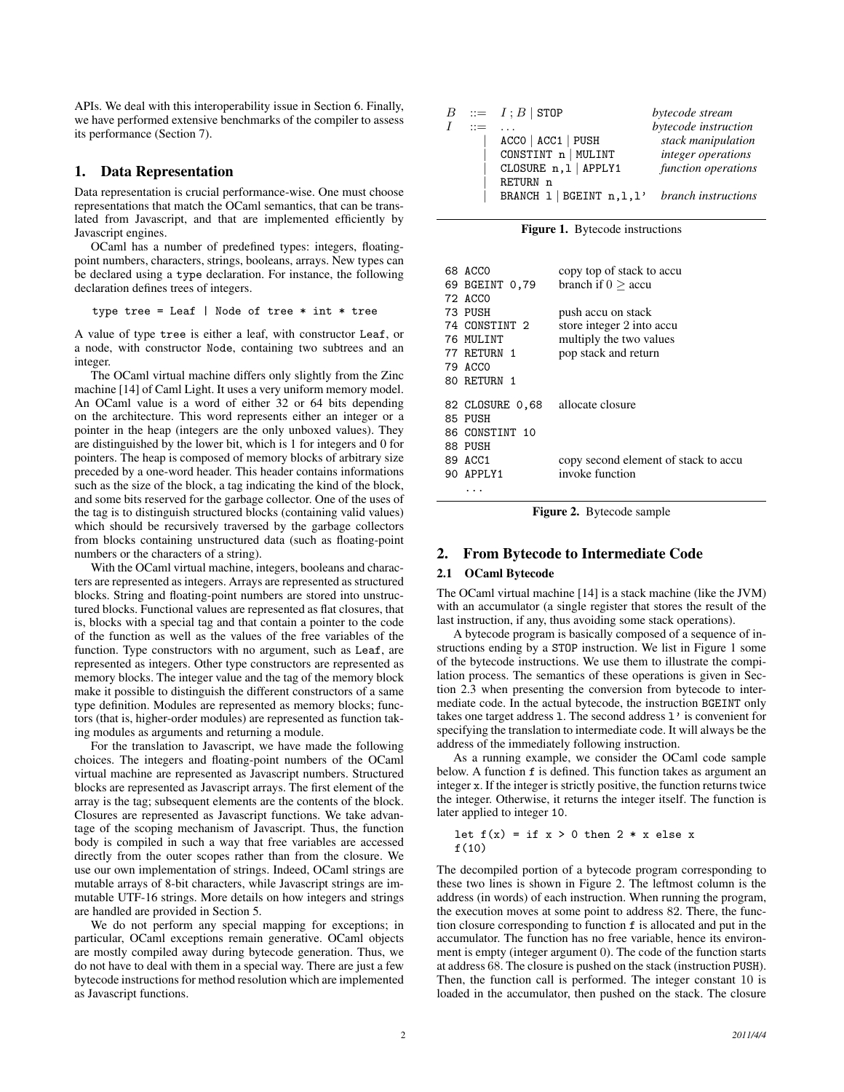APIs. We deal with this interoperability issue in Section 6. Finally, we have performed extensive benchmarks of the compiler to assess its performance (Section 7).

## 1. Data Representation

Data representation is crucial performance-wise. One must choose representations that match the OCaml semantics, that can be translated from Javascript, and that are implemented efficiently by Javascript engines.

OCaml has a number of predefined types: integers, floatingpoint numbers, characters, strings, booleans, arrays. New types can be declared using a type declaration. For instance, the following declaration defines trees of integers.

$$
type\ tree = \text{Leaf} \mid \text{Node of tree} * int * tree
$$

A value of type tree is either a leaf, with constructor Leaf, or a node, with constructor Node, containing two subtrees and an integer.

The OCaml virtual machine differs only slightly from the Zinc machine [14] of Caml Light. It uses a very uniform memory model. An OCaml value is a word of either 32 or 64 bits depending on the architecture. This word represents either an integer or a pointer in the heap (integers are the only unboxed values). They are distinguished by the lower bit, which is 1 for integers and 0 for pointers. The heap is composed of memory blocks of arbitrary size preceded by a one-word header. This header contains informations such as the size of the block, a tag indicating the kind of the block, and some bits reserved for the garbage collector. One of the uses of the tag is to distinguish structured blocks (containing valid values) which should be recursively traversed by the garbage collectors from blocks containing unstructured data (such as floating-point numbers or the characters of a string).

With the OCaml virtual machine, integers, booleans and characters are represented as integers. Arrays are represented as structured blocks. String and floating-point numbers are stored into unstructured blocks. Functional values are represented as flat closures, that is, blocks with a special tag and that contain a pointer to the code of the function as well as the values of the free variables of the function. Type constructors with no argument, such as Leaf, are represented as integers. Other type constructors are represented as memory blocks. The integer value and the tag of the memory block make it possible to distinguish the different constructors of a same type definition. Modules are represented as memory blocks; functors (that is, higher-order modules) are represented as function taking modules as arguments and returning a module.

For the translation to Javascript, we have made the following choices. The integers and floating-point numbers of the OCaml virtual machine are represented as Javascript numbers. Structured blocks are represented as Javascript arrays. The first element of the array is the tag; subsequent elements are the contents of the block. Closures are represented as Javascript functions. We take advantage of the scoping mechanism of Javascript. Thus, the function body is compiled in such a way that free variables are accessed directly from the outer scopes rather than from the closure. We use our own implementation of strings. Indeed, OCaml strings are mutable arrays of 8-bit characters, while Javascript strings are immutable UTF-16 strings. More details on how integers and strings are handled are provided in Section 5.

We do not perform any special mapping for exceptions; in particular, OCaml exceptions remain generative. OCaml objects are mostly compiled away during bytecode generation. Thus, we do not have to deal with them in a special way. There are just a few bytecode instructions for method resolution which are implemented as Javascript functions.

|  | $ ::= I : B  $ STOP        | bytecode stream            |
|--|----------------------------|----------------------------|
|  |                            | bytecode instruction       |
|  | $ACCO$   $ACC1$   $PUSH$   | stack manipulation         |
|  | CONSTINT n   MULINT        | integer operations         |
|  | CLOSURE n, 1   APPLY1      | function operations        |
|  | RETURN n                   |                            |
|  | BRANCH 1   BGEINT n, 1, 1' | <i>branch instructions</i> |
|  |                            |                            |

Figure 1. Bytecode instructions

| 68 ACCO                          | copy top of stack to accu            |
|----------------------------------|--------------------------------------|
| 69 BGEINT 0.79                   | branch if $0 >$ accu                 |
| 72 ACCO                          |                                      |
| 73 PUSH                          | push accu on stack                   |
| 74 CONSTINT 2                    | store integer 2 into accu            |
| 76 MULINT                        | multiply the two values              |
| 77 RETURN 1                      | pop stack and return                 |
| 79 ACCO                          |                                      |
| 80 RETURN 1                      |                                      |
|                                  |                                      |
| 82 CLOSURE 0,68 allocate closure |                                      |
| 85 PUSH                          |                                      |
| 86 CONSTINT 10                   |                                      |
| 88 PUSH                          |                                      |
| 89 ACC1                          | copy second element of stack to accu |
| 90 APPLY1                        | invoke function                      |
|                                  |                                      |
|                                  |                                      |

Figure 2. Bytecode sample

# 2. From Bytecode to Intermediate Code

### 2.1 OCaml Bytecode

The OCaml virtual machine [14] is a stack machine (like the JVM) with an accumulator (a single register that stores the result of the last instruction, if any, thus avoiding some stack operations).

A bytecode program is basically composed of a sequence of instructions ending by a STOP instruction. We list in Figure 1 some of the bytecode instructions. We use them to illustrate the compilation process. The semantics of these operations is given in Section 2.3 when presenting the conversion from bytecode to intermediate code. In the actual bytecode, the instruction BGEINT only takes one target address l. The second address l' is convenient for specifying the translation to intermediate code. It will always be the address of the immediately following instruction.

As a running example, we consider the OCaml code sample below. A function f is defined. This function takes as argument an integer x. If the integer is strictly positive, the function returns twice the integer. Otherwise, it returns the integer itself. The function is later applied to integer 10.

let 
$$
f(x) = \text{if } x > 0 \text{ then } 2 * x \text{ else } x
$$
  
f(10)

The decompiled portion of a bytecode program corresponding to these two lines is shown in Figure 2. The leftmost column is the address (in words) of each instruction. When running the program, the execution moves at some point to address 82. There, the function closure corresponding to function f is allocated and put in the accumulator. The function has no free variable, hence its environment is empty (integer argument 0). The code of the function starts at address 68. The closure is pushed on the stack (instruction PUSH). Then, the function call is performed. The integer constant 10 is loaded in the accumulator, then pushed on the stack. The closure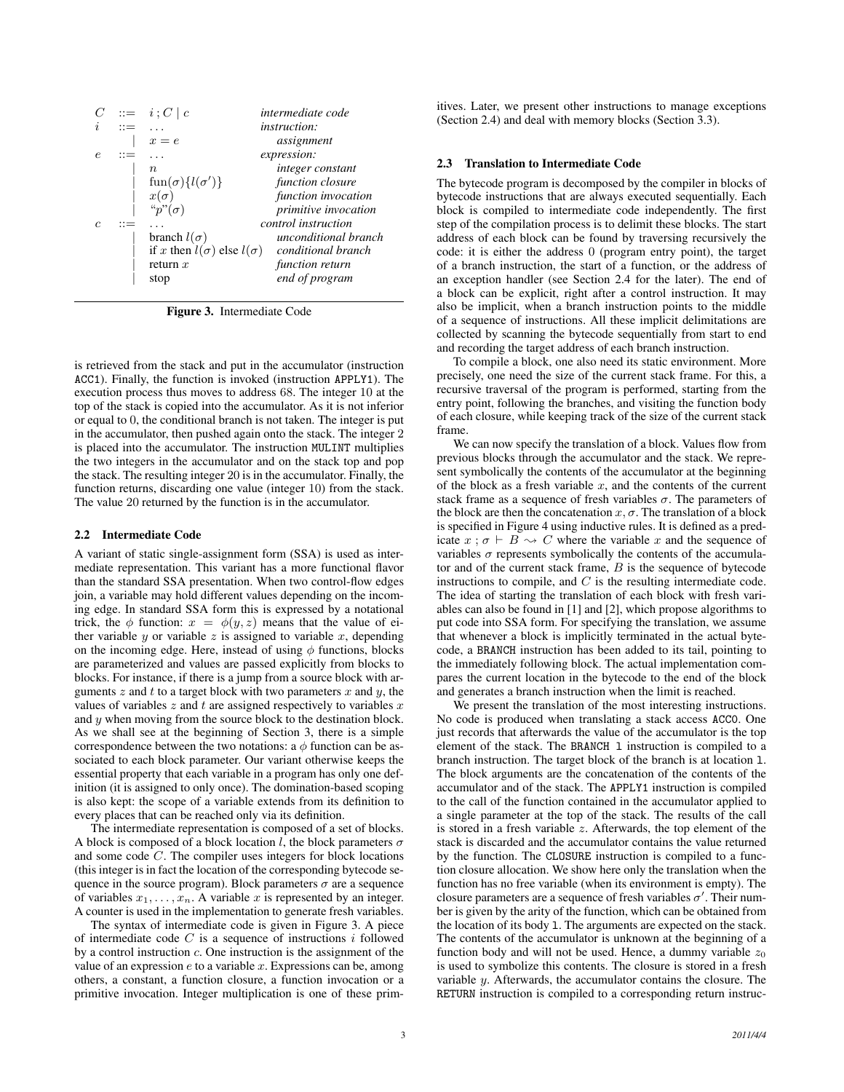|            | $::=$ | $i: C \mid c$                          | intermediate code    |
|------------|-------|----------------------------------------|----------------------|
| Ì,         | $::=$ |                                        | <i>instruction:</i>  |
|            |       | $x=e$                                  | assignment           |
| $\epsilon$ | $::=$ |                                        | expression:          |
|            |       | $n\,$                                  | integer constant     |
|            |       | $\text{fun}(\sigma)\{l(\sigma')\}$     | function closure     |
|            |       | $x(\sigma)$                            | function invocation  |
|            |       | " $p$ " $(\sigma)$                     | primitive invocation |
| C          | $::=$ |                                        | control instruction  |
|            |       | branch $l(\sigma)$                     | unconditional branch |
|            |       | if x then $l(\sigma)$ else $l(\sigma)$ | conditional branch   |
|            |       | return $x$                             | function return      |
|            |       | stop                                   | end of program       |

Figure 3. Intermediate Code

is retrieved from the stack and put in the accumulator (instruction ACC1). Finally, the function is invoked (instruction APPLY1). The execution process thus moves to address 68. The integer 10 at the top of the stack is copied into the accumulator. As it is not inferior or equal to 0, the conditional branch is not taken. The integer is put in the accumulator, then pushed again onto the stack. The integer 2 is placed into the accumulator. The instruction MULINT multiplies the two integers in the accumulator and on the stack top and pop the stack. The resulting integer 20 is in the accumulator. Finally, the function returns, discarding one value (integer 10) from the stack. The value 20 returned by the function is in the accumulator.

#### 2.2 Intermediate Code

A variant of static single-assignment form (SSA) is used as intermediate representation. This variant has a more functional flavor than the standard SSA presentation. When two control-flow edges join, a variable may hold different values depending on the incoming edge. In standard SSA form this is expressed by a notational trick, the  $\phi$  function:  $x = \phi(y, z)$  means that the value of either variable  $y$  or variable  $z$  is assigned to variable  $x$ , depending on the incoming edge. Here, instead of using  $\phi$  functions, blocks are parameterized and values are passed explicitly from blocks to blocks. For instance, if there is a jump from a source block with arguments  $z$  and  $t$  to a target block with two parameters  $x$  and  $y$ , the values of variables  $z$  and  $t$  are assigned respectively to variables  $x$ and  $y$  when moving from the source block to the destination block. As we shall see at the beginning of Section 3, there is a simple correspondence between the two notations: a  $\phi$  function can be associated to each block parameter. Our variant otherwise keeps the essential property that each variable in a program has only one definition (it is assigned to only once). The domination-based scoping is also kept: the scope of a variable extends from its definition to every places that can be reached only via its definition.

The intermediate representation is composed of a set of blocks. A block is composed of a block location l, the block parameters  $\sigma$ and some code C. The compiler uses integers for block locations (this integer is in fact the location of the corresponding bytecode sequence in the source program). Block parameters  $\sigma$  are a sequence of variables  $x_1, \ldots, x_n$ . A variable x is represented by an integer. A counter is used in the implementation to generate fresh variables.

The syntax of intermediate code is given in Figure 3. A piece of intermediate code  $C$  is a sequence of instructions  $i$  followed by a control instruction c. One instruction is the assignment of the value of an expression  $e$  to a variable  $x$ . Expressions can be, among others, a constant, a function closure, a function invocation or a primitive invocation. Integer multiplication is one of these primitives. Later, we present other instructions to manage exceptions (Section 2.4) and deal with memory blocks (Section 3.3).

#### 2.3 Translation to Intermediate Code

The bytecode program is decomposed by the compiler in blocks of bytecode instructions that are always executed sequentially. Each block is compiled to intermediate code independently. The first step of the compilation process is to delimit these blocks. The start address of each block can be found by traversing recursively the code: it is either the address 0 (program entry point), the target of a branch instruction, the start of a function, or the address of an exception handler (see Section 2.4 for the later). The end of a block can be explicit, right after a control instruction. It may also be implicit, when a branch instruction points to the middle of a sequence of instructions. All these implicit delimitations are collected by scanning the bytecode sequentially from start to end and recording the target address of each branch instruction.

To compile a block, one also need its static environment. More precisely, one need the size of the current stack frame. For this, a recursive traversal of the program is performed, starting from the entry point, following the branches, and visiting the function body of each closure, while keeping track of the size of the current stack frame.

We can now specify the translation of a block. Values flow from previous blocks through the accumulator and the stack. We represent symbolically the contents of the accumulator at the beginning of the block as a fresh variable  $x$ , and the contents of the current stack frame as a sequence of fresh variables  $\sigma$ . The parameters of the block are then the concatenation  $x, \sigma$ . The translation of a block is specified in Figure 4 using inductive rules. It is defined as a predicate  $x : \sigma \vdash B \leadsto C$  where the variable x and the sequence of variables  $\sigma$  represents symbolically the contents of the accumulator and of the current stack frame,  $B$  is the sequence of bytecode instructions to compile, and  $C$  is the resulting intermediate code. The idea of starting the translation of each block with fresh variables can also be found in [1] and [2], which propose algorithms to put code into SSA form. For specifying the translation, we assume that whenever a block is implicitly terminated in the actual bytecode, a BRANCH instruction has been added to its tail, pointing to the immediately following block. The actual implementation compares the current location in the bytecode to the end of the block and generates a branch instruction when the limit is reached.

We present the translation of the most interesting instructions. No code is produced when translating a stack access ACC0. One just records that afterwards the value of the accumulator is the top element of the stack. The BRANCH 1 instruction is compiled to a branch instruction. The target block of the branch is at location l. The block arguments are the concatenation of the contents of the accumulator and of the stack. The APPLY1 instruction is compiled to the call of the function contained in the accumulator applied to a single parameter at the top of the stack. The results of the call is stored in a fresh variable  $z$ . Afterwards, the top element of the stack is discarded and the accumulator contains the value returned by the function. The CLOSURE instruction is compiled to a function closure allocation. We show here only the translation when the function has no free variable (when its environment is empty). The closure parameters are a sequence of fresh variables  $\sigma'$ . Their number is given by the arity of the function, which can be obtained from the location of its body l. The arguments are expected on the stack. The contents of the accumulator is unknown at the beginning of a function body and will not be used. Hence, a dummy variable  $z_0$ is used to symbolize this contents. The closure is stored in a fresh variable  $y$ . Afterwards, the accumulator contains the closure. The RETURN instruction is compiled to a corresponding return instruc-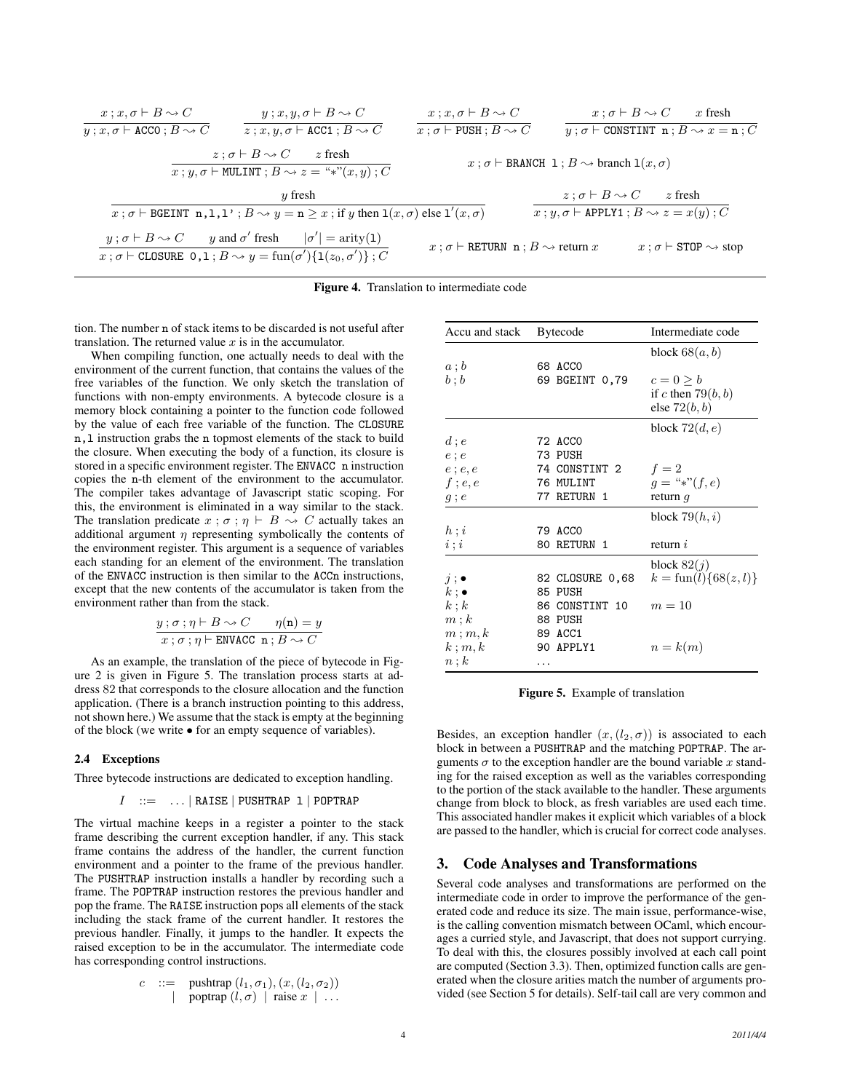$$
\begin{array}{cc}\nx; x, \sigma \vdash B \leadsto C & y; x, y, \sigma \vdash B \leadsto C & x; x, \sigma \vdash B \leadsto C & x; \sigma \vdash B \leadsto C & x \text{ fresh} \\
\hline\nx; y, \sigma \vdash \text{ACO} \; ; B \leadsto C & z \text{ fresh} & x; \sigma \vdash \text{PUSH} \; ; B \leadsto C & y; \sigma \vdash \text{COMSTINT } \mathbf{n} \; ; B \leadsto x = \mathbf{n} \; ; C \\
x; y, \sigma \vdash \text{MULINT } \mathbf{i} \; B \leadsto z = \text{``$*''}(x, y) \; ; C & x; \sigma \vdash \text{BRANCH } \mathbf{1} \; ; B \leadsto \text{branch } \mathbf{1}(x, \sigma) \\
y \text{ fresh} & x; \sigma \vdash \text{BGENNT } \mathbf{n} \; , \mathbf{1, 1'} \; ; B \leadsto y = \mathbf{n} \geq x \; ; \text{if } y \text{ then } \mathbf{1}(x, \sigma) \text{ else } \mathbf{1}'(x, \sigma) & x; \sigma \vdash \text{APPLY1 } \mathbf{i} \; B \leadsto x = x(y) \; ; C \\
y; \sigma \vdash B \leadsto C & y \text{ and } \sigma' \text{ fresh} & |\sigma'| = \text{arity}(1) \\
x; \sigma \vdash \text{CLOSURE } \mathbf{0, 1} \; ; B \leadsto y = \text{fun}(\sigma') \{ \mathbf{1}(z_0, \sigma') \} \; ; C & x; \sigma \vdash \text{RETURN } \mathbf{n} \; ; B \leadsto \text{return } x & x; \sigma \vdash \text{STOP } \leadsto \text{stop} \\
\end{array}
$$

|  | Figure 4. Translation to intermediate code |  |  |  |
|--|--------------------------------------------|--|--|--|
|--|--------------------------------------------|--|--|--|

tion. The number n of stack items to be discarded is not useful after translation. The returned value  $x$  is in the accumulator.

When compiling function, one actually needs to deal with the environment of the current function, that contains the values of the free variables of the function. We only sketch the translation of functions with non-empty environments. A bytecode closure is a memory block containing a pointer to the function code followed by the value of each free variable of the function. The CLOSURE n,l instruction grabs the n topmost elements of the stack to build the closure. When executing the body of a function, its closure is stored in a specific environment register. The ENVACC n instruction copies the n-th element of the environment to the accumulator. The compiler takes advantage of Javascript static scoping. For this, the environment is eliminated in a way similar to the stack. The translation predicate  $x : \sigma : \eta \vdash B \leadsto C$  actually takes an additional argument  $\eta$  representing symbolically the contents of the environment register. This argument is a sequence of variables each standing for an element of the environment. The translation of the ENVACC instruction is then similar to the ACCn instructions, except that the new contents of the accumulator is taken from the environment rather than from the stack.

$$
y; \sigma; \eta \vdash B \leadsto C \qquad \eta(\mathbf{n}) = y
$$
  

$$
x; \sigma; \eta \vdash \text{ENVACC } \mathbf{n}; B \leadsto C
$$

As an example, the translation of the piece of bytecode in Figure 2 is given in Figure 5. The translation process starts at address 82 that corresponds to the closure allocation and the function application. (There is a branch instruction pointing to this address, not shown here.) We assume that the stack is empty at the beginning of the block (we write • for an empty sequence of variables).

#### 2.4 Exceptions

Three bytecode instructions are dedicated to exception handling.

$$
I \ ::= \ \ldots \ | \ \mathtt{RAISE} \ | \ \mathtt{PUSHTRAP} \ \mathtt{1} \ | \ \mathtt{POPTRAP}
$$

The virtual machine keeps in a register a pointer to the stack frame describing the current exception handler, if any. This stack frame contains the address of the handler, the current function environment and a pointer to the frame of the previous handler. The PUSHTRAP instruction installs a handler by recording such a frame. The POPTRAP instruction restores the previous handler and pop the frame. The RAISE instruction pops all elements of the stack including the stack frame of the current handler. It restores the previous handler. Finally, it jumps to the handler. It expects the raised exception to be in the accumulator. The intermediate code has corresponding control instructions.

$$
c ::= \text{pushtrap } (l_1, \sigma_1), (x, (l_2, \sigma_2))
$$
  
| 
$$
\text{poptrap } (l, \sigma) \mid \text{raise } x \mid \dots
$$

| Accu and stack    | <b>Bytecode</b> | Intermediate code                 |
|-------------------|-----------------|-----------------------------------|
|                   |                 | block $68(a, b)$                  |
| $a \mathbin{;} b$ | 68 ACCO         |                                   |
| b:b               | 69 BGEINT 0,79  | $c = 0 > b$                       |
|                   |                 | if c then $79(b, b)$              |
|                   |                 | else $72(b, b)$                   |
|                   |                 | block $72(d, e)$                  |
| $d$ ; $e$         | 72 ACCO         |                                   |
| $e$ ; $e$         | 73 PUSH         |                                   |
| $e$ ; $e, e$      | 74 CONSTINT 2   | $f=2$                             |
| $f$ ; $e, e$      | 76 MULINT       | $q =$ "*" $(f, e)$                |
| $g$ ; $e$         | 77 RETURN 1     | return $q$                        |
|                   |                 | block $79(h, i)$                  |
| h:i               | 79 ACCO         |                                   |
| i; i              | 80 RETURN 1     | return $i$                        |
|                   |                 | block $82(j)$                     |
| $j$ ; $\bullet$   | 82 CLOSURE 0,68 | $k = \text{fun}(l) \{68(z, l)\}\$ |
| $k: \bullet$      | 85 PUSH         |                                   |
| k; k              | 86 CONSTINT 10  | $m=10$                            |
| m; k              | 88 PUSH         |                                   |
| m; m, k           | 89 ACC1         |                                   |
| $k$ ; $m, k$      | 90 APPLY1       | $n=k(m)$                          |
| $n\,;k$           |                 |                                   |

Figure 5. Example of translation

Besides, an exception handler  $(x,(l_2,\sigma))$  is associated to each block in between a PUSHTRAP and the matching POPTRAP. The arguments  $\sigma$  to the exception handler are the bound variable x standing for the raised exception as well as the variables corresponding to the portion of the stack available to the handler. These arguments change from block to block, as fresh variables are used each time. This associated handler makes it explicit which variables of a block are passed to the handler, which is crucial for correct code analyses.

## 3. Code Analyses and Transformations

Several code analyses and transformations are performed on the intermediate code in order to improve the performance of the generated code and reduce its size. The main issue, performance-wise, is the calling convention mismatch between OCaml, which encourages a curried style, and Javascript, that does not support currying. To deal with this, the closures possibly involved at each call point are computed (Section 3.3). Then, optimized function calls are generated when the closure arities match the number of arguments provided (see Section 5 for details). Self-tail call are very common and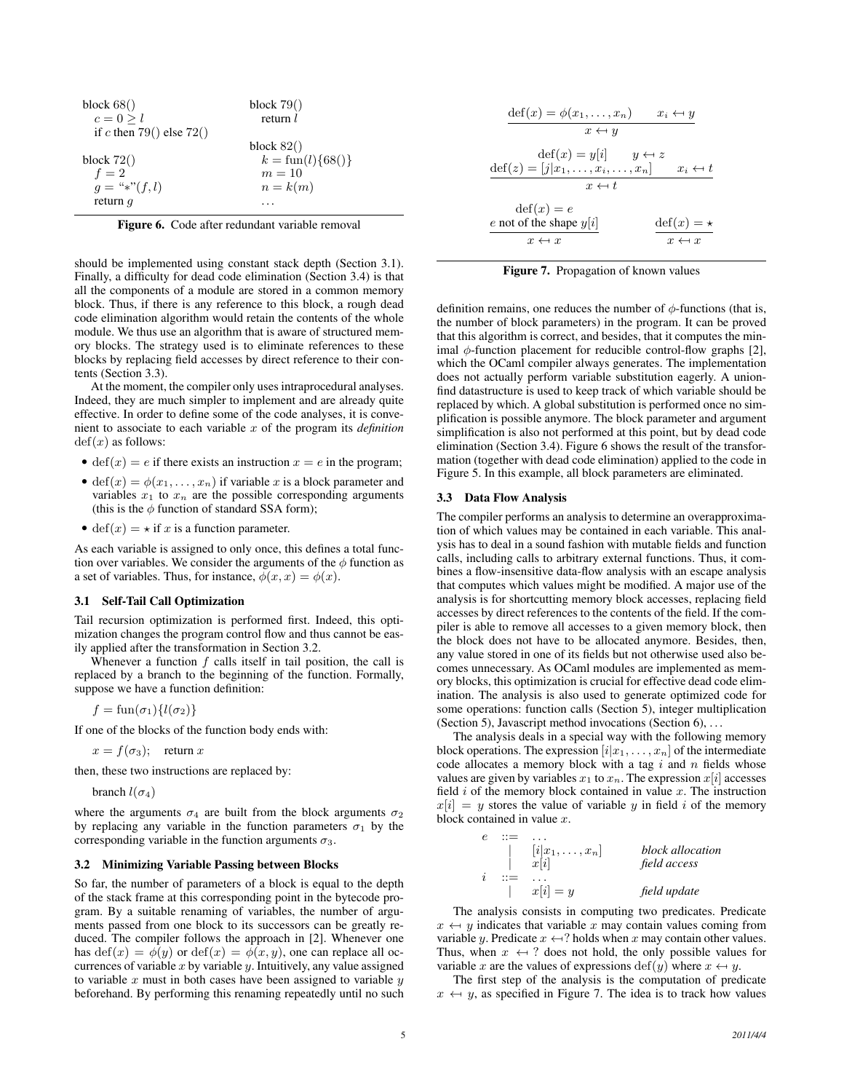| block $68()$               | block $79()$                 |
|----------------------------|------------------------------|
| $c = 0 > l$                | return $l$                   |
| if c then 79() else $72()$ |                              |
|                            | block $82()$                 |
| block $72()$               | $k = \text{fun}(l)\{68()\}\$ |
| $f=2$                      | $m=10$                       |
| $q =$ "*" $(f, l)$         | $n=k(m)$                     |
| return $q$                 |                              |

Figure 6. Code after redundant variable removal

should be implemented using constant stack depth (Section 3.1). Finally, a difficulty for dead code elimination (Section 3.4) is that all the components of a module are stored in a common memory block. Thus, if there is any reference to this block, a rough dead code elimination algorithm would retain the contents of the whole module. We thus use an algorithm that is aware of structured memory blocks. The strategy used is to eliminate references to these blocks by replacing field accesses by direct reference to their contents (Section 3.3).

At the moment, the compiler only uses intraprocedural analyses. Indeed, they are much simpler to implement and are already quite effective. In order to define some of the code analyses, it is convenient to associate to each variable x of the program its *definition*  $def(x)$  as follows:

- def(x) = e if there exists an instruction  $x = e$  in the program;
- def(x) =  $\phi(x_1, \ldots, x_n)$  if variable x is a block parameter and variables  $x_1$  to  $x_n$  are the possible corresponding arguments (this is the  $\phi$  function of standard SSA form);
- def(x) =  $\star$  if x is a function parameter.

As each variable is assigned to only once, this defines a total function over variables. We consider the arguments of the  $\phi$  function as a set of variables. Thus, for instance,  $\phi(x, x) = \phi(x)$ .

#### 3.1 Self-Tail Call Optimization

Tail recursion optimization is performed first. Indeed, this optimization changes the program control flow and thus cannot be easily applied after the transformation in Section 3.2.

Whenever a function  $f$  calls itself in tail position, the call is replaced by a branch to the beginning of the function. Formally, suppose we have a function definition:

 $f = \text{fun}(\sigma_1)\{l(\sigma_2)\}\$ 

If one of the blocks of the function body ends with:

$$
x = f(\sigma_3); \quad \text{return } x
$$

then, these two instructions are replaced by:

branch  $l(\sigma_4)$ 

where the arguments  $\sigma_4$  are built from the block arguments  $\sigma_2$ by replacing any variable in the function parameters  $\sigma_1$  by the corresponding variable in the function arguments  $\sigma_3$ .

#### 3.2 Minimizing Variable Passing between Blocks

So far, the number of parameters of a block is equal to the depth of the stack frame at this corresponding point in the bytecode program. By a suitable renaming of variables, the number of arguments passed from one block to its successors can be greatly reduced. The compiler follows the approach in [2]. Whenever one has  $\text{def}(x) = \phi(y)$  or  $\text{def}(x) = \phi(x, y)$ , one can replace all occurrences of variable  $x$  by variable  $y$ . Intuitively, any value assigned to variable  $x$  must in both cases have been assigned to variable  $y$ beforehand. By performing this renaming repeatedly until no such

| $\det(x) = \phi(x_1, \ldots, x_n)$                                            | $x_i \leftarrow y$                          |
|-------------------------------------------------------------------------------|---------------------------------------------|
| $x \leftrightarrow y$                                                         |                                             |
| $\text{def}(x) = y i $<br>$\text{def}(z) = [j x_1, \ldots, x_i, \ldots, x_n]$ | $y \leftarrow z$<br>$x_i \leftrightarrow t$ |
| $x \leftrightarrow t$                                                         |                                             |
| $\text{def}(x) = e$<br>e not of the shape $y[i]$                              | $\det(x) = \star$                           |
| $x \leftrightarrow x$                                                         | $x \leftarrow x$                            |

Figure 7. Propagation of known values

definition remains, one reduces the number of  $\phi$ -functions (that is, the number of block parameters) in the program. It can be proved that this algorithm is correct, and besides, that it computes the minimal  $\phi$ -function placement for reducible control-flow graphs [2], which the OCaml compiler always generates. The implementation does not actually perform variable substitution eagerly. A unionfind datastructure is used to keep track of which variable should be replaced by which. A global substitution is performed once no simplification is possible anymore. The block parameter and argument simplification is also not performed at this point, but by dead code elimination (Section 3.4). Figure 6 shows the result of the transformation (together with dead code elimination) applied to the code in Figure 5. In this example, all block parameters are eliminated.

#### 3.3 Data Flow Analysis

 $\sim$   $\sim$ 

The compiler performs an analysis to determine an overapproximation of which values may be contained in each variable. This analysis has to deal in a sound fashion with mutable fields and function calls, including calls to arbitrary external functions. Thus, it combines a flow-insensitive data-flow analysis with an escape analysis that computes which values might be modified. A major use of the analysis is for shortcutting memory block accesses, replacing field accesses by direct references to the contents of the field. If the compiler is able to remove all accesses to a given memory block, then the block does not have to be allocated anymore. Besides, then, any value stored in one of its fields but not otherwise used also becomes unnecessary. As OCaml modules are implemented as memory blocks, this optimization is crucial for effective dead code elimination. The analysis is also used to generate optimized code for some operations: function calls (Section 5), integer multiplication (Section 5), Javascript method invocations (Section 6), . . .

The analysis deals in a special way with the following memory block operations. The expression  $[i|x_1, \ldots, x_n]$  of the intermediate code allocates a memory block with a tag  $i$  and  $n$  fields whose values are given by variables  $x_1$  to  $x_n$ . The expression  $x[i]$  accesses field  $i$  of the memory block contained in value  $x$ . The instruction  $x[i] = y$  stores the value of variable y in field i of the memory block contained in value  $x$ .

$$
\begin{array}{c}\n\vdots & \vdots & \vdots \\
\downarrow & [i]x_1, \ldots, x_n] & \text{block allocation} \\
i & ::= & \ldots \\
\downarrow & x[i] = y & \text{field update}\n\end{array}
$$

The analysis consists in computing two predicates. Predicate  $x \leftrightarrow y$  indicates that variable x may contain values coming from variable y. Predicate  $x \leftarrow ?$  holds when x may contain other values. Thus, when  $x \leftrightarrow ?$  does not hold, the only possible values for variable x are the values of expressions def(y) where  $x \leftrightarrow y$ .

The first step of the analysis is the computation of predicate  $x \leftrightarrow y$ , as specified in Figure 7. The idea is to track how values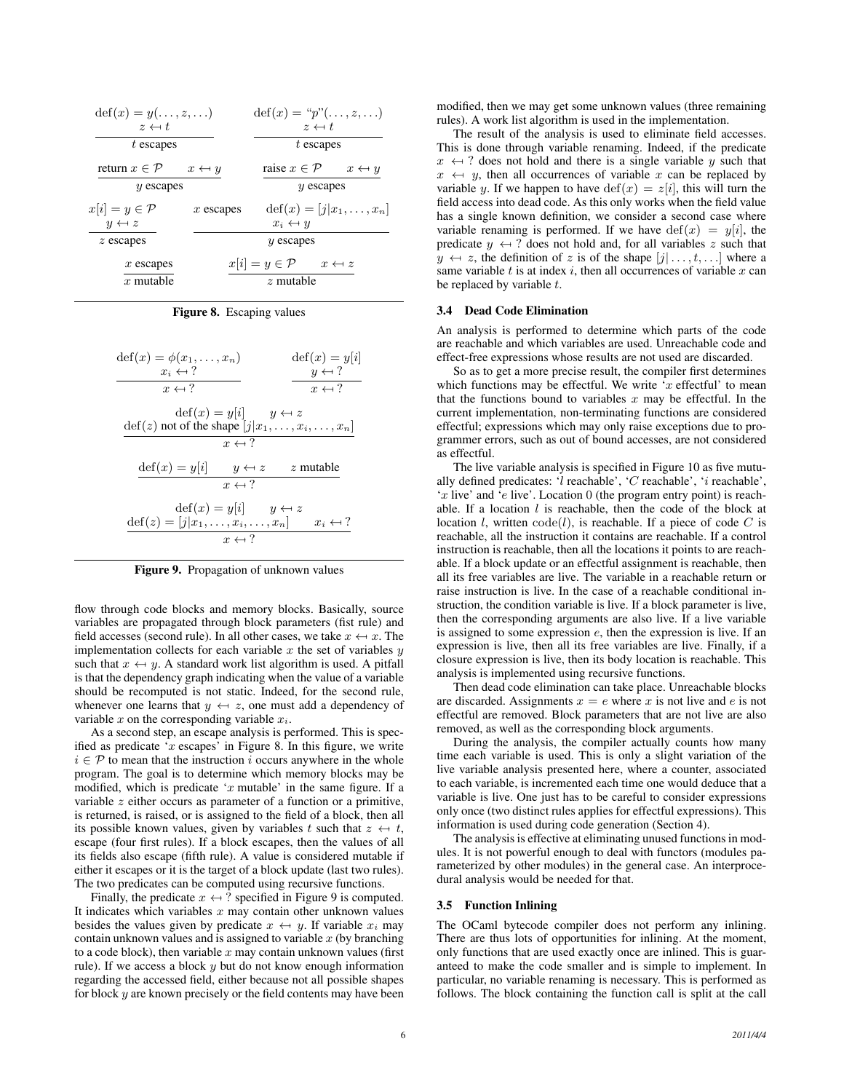| $\det(x) = y(\ldots, z, \ldots)$<br>$z \leftarrow t$ |                       | $\text{def}(x) = "p"(\ldots, z, \ldots)$<br>$z \leftarrow t$ |                                        |
|------------------------------------------------------|-----------------------|--------------------------------------------------------------|----------------------------------------|
| t escapes                                            |                       | $t$ escapes                                                  |                                        |
| return $x \in \mathcal{P}$                           | $x \leftrightarrow y$ | raise $x \in \mathcal{P}$                                    | $x \leftrightarrow y$                  |
| $y$ escapes                                          |                       | $y$ escapes                                                  |                                        |
| $x[i] = y \in \mathcal{P}$                           | $x$ escapes           |                                                              | $\text{def}(x) = [j x_1, \ldots, x_n]$ |
| $y \leftrightarrow z$                                |                       | $x_i \leftarrow y$                                           |                                        |
| $z$ escapes                                          |                       | $y$ escapes                                                  |                                        |
| $x$ escapes                                          |                       | $x[i] \equiv y \in \mathcal{P}$                              | $x \leftrightarrow z$                  |
| x mutable                                            |                       | $z$ mutable                                                  |                                        |

Figure 8. Escaping values

| $\det(x) = \phi(x_1, \ldots, x_n)$<br>$x_i \leftarrow ?$                                                         | $\text{def}(x) = y[i]$<br>$y \leftarrow ?$  |
|------------------------------------------------------------------------------------------------------------------|---------------------------------------------|
| $x \leftarrow ?$                                                                                                 | $x \leftarrow ?$                            |
| $\text{def}(x) = y i $ $y \leftrightarrow z$<br>$\text{def}(z)$ not of the shape $[j x_1,\ldots,x_i,\ldots,x_n]$ |                                             |
| $x \leftarrow ?$                                                                                                 |                                             |
| $\text{def}(x) = y[i]$                                                                                           | $y \leftrightarrow z$ z mutable             |
| $x \leftarrow ?$                                                                                                 |                                             |
| $\text{def}(x) = y[i]$<br>$\text{def}(z) = [j x_1, \ldots, x_i, \ldots, x_n]$<br>$x \leftarrow ?$                | $y \leftrightarrow z$<br>$x_i \leftarrow ?$ |
|                                                                                                                  |                                             |

Figure 9. Propagation of unknown values

flow through code blocks and memory blocks. Basically, source variables are propagated through block parameters (fist rule) and field accesses (second rule). In all other cases, we take  $x \leftrightarrow x$ . The implementation collects for each variable  $x$  the set of variables  $y$ such that  $x \leftrightarrow y$ . A standard work list algorithm is used. A pitfall is that the dependency graph indicating when the value of a variable should be recomputed is not static. Indeed, for the second rule, whenever one learns that  $y \leftrightarrow z$ , one must add a dependency of variable  $x$  on the corresponding variable  $x_i$ .

As a second step, an escape analysis is performed. This is specified as predicate ' $x$  escapes' in Figure 8. In this figure, we write  $i \in \mathcal{P}$  to mean that the instruction i occurs anywhere in the whole program. The goal is to determine which memory blocks may be modified, which is predicate ' $x$  mutable' in the same figure. If a variable z either occurs as parameter of a function or a primitive, is returned, is raised, or is assigned to the field of a block, then all its possible known values, given by variables t such that  $z \leftrightarrow t$ , escape (four first rules). If a block escapes, then the values of all its fields also escape (fifth rule). A value is considered mutable if either it escapes or it is the target of a block update (last two rules). The two predicates can be computed using recursive functions.

Finally, the predicate  $x \leftarrow ?$  specified in Figure 9 is computed. It indicates which variables  $x$  may contain other unknown values besides the values given by predicate  $x \leftrightarrow y$ . If variable  $x_i$  may contain unknown values and is assigned to variable  $x$  (by branching to a code block), then variable  $x$  may contain unknown values (first rule). If we access a block  $y$  but do not know enough information regarding the accessed field, either because not all possible shapes for block y are known precisely or the field contents may have been modified, then we may get some unknown values (three remaining rules). A work list algorithm is used in the implementation.

The result of the analysis is used to eliminate field accesses. This is done through variable renaming. Indeed, if the predicate  $x \leftrightarrow ?$  does not hold and there is a single variable y such that  $x \leftrightarrow y$ , then all occurrences of variable x can be replaced by variable y. If we happen to have  $\text{def}(x) = z[i]$ , this will turn the field access into dead code. As this only works when the field value has a single known definition, we consider a second case where variable renaming is performed. If we have  $\text{def}(x) = y[i]$ , the predicate  $y \leftrightarrow$ ? does not hold and, for all variables z such that  $y \leftrightarrow z$ , the definition of z is of the shape  $[j] \dots, t, \dots]$  where a same variable  $t$  is at index  $i$ , then all occurrences of variable  $x$  can be replaced by variable  $t$ .

#### 3.4 Dead Code Elimination

An analysis is performed to determine which parts of the code are reachable and which variables are used. Unreachable code and effect-free expressions whose results are not used are discarded.

So as to get a more precise result, the compiler first determines which functions may be effectful. We write  $x$  effectful' to mean that the functions bound to variables  $x$  may be effectful. In the current implementation, non-terminating functions are considered effectful; expressions which may only raise exceptions due to programmer errors, such as out of bound accesses, are not considered as effectful.

The live variable analysis is specified in Figure 10 as five mutually defined predicates: ' $l$  reachable', ' $C$  reachable', 'i reachable', 'x live' and 'e live'. Location 0 (the program entry point) is reachable. If a location  $l$  is reachable, then the code of the block at location l, written  $\text{code}(l)$ , is reachable. If a piece of code C is reachable, all the instruction it contains are reachable. If a control instruction is reachable, then all the locations it points to are reachable. If a block update or an effectful assignment is reachable, then all its free variables are live. The variable in a reachable return or raise instruction is live. In the case of a reachable conditional instruction, the condition variable is live. If a block parameter is live, then the corresponding arguments are also live. If a live variable is assigned to some expression e, then the expression is live. If an expression is live, then all its free variables are live. Finally, if a closure expression is live, then its body location is reachable. This analysis is implemented using recursive functions.

Then dead code elimination can take place. Unreachable blocks are discarded. Assignments  $x = e$  where x is not live and e is not effectful are removed. Block parameters that are not live are also removed, as well as the corresponding block arguments.

During the analysis, the compiler actually counts how many time each variable is used. This is only a slight variation of the live variable analysis presented here, where a counter, associated to each variable, is incremented each time one would deduce that a variable is live. One just has to be careful to consider expressions only once (two distinct rules applies for effectful expressions). This information is used during code generation (Section 4).

The analysis is effective at eliminating unused functions in modules. It is not powerful enough to deal with functors (modules parameterized by other modules) in the general case. An interprocedural analysis would be needed for that.

#### 3.5 Function Inlining

The OCaml bytecode compiler does not perform any inlining. There are thus lots of opportunities for inlining. At the moment, only functions that are used exactly once are inlined. This is guaranteed to make the code smaller and is simple to implement. In particular, no variable renaming is necessary. This is performed as follows. The block containing the function call is split at the call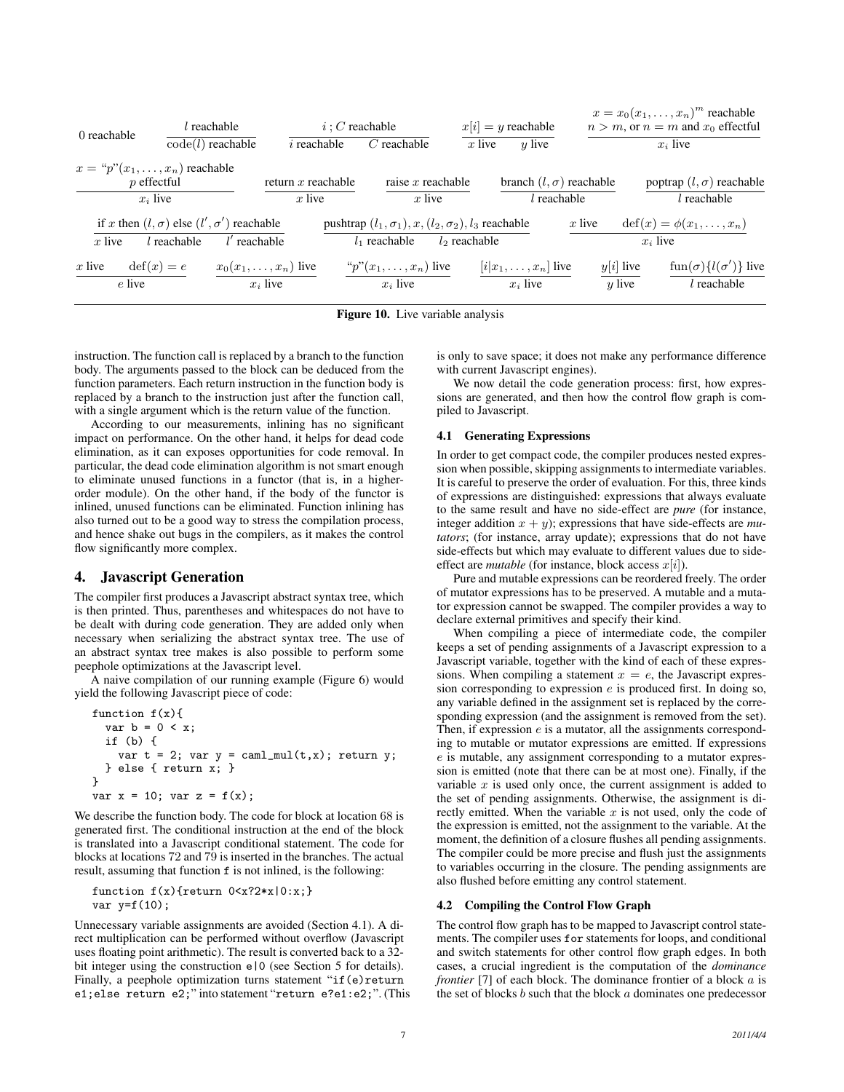| 0 reachable | $l$ reachable                                          |                            | $i: C$ reachable                                              |                     | $x[i] = y$ reachable           |                          | $x = x_0(x_1, \ldots, x_n)^m$ reachable<br>$n > m$ , or $n = m$ and $x_0$ effectful |
|-------------|--------------------------------------------------------|----------------------------|---------------------------------------------------------------|---------------------|--------------------------------|--------------------------|-------------------------------------------------------------------------------------|
|             | $\text{code}(l)$ reachable                             | $i$ reachable              | $C$ reachable                                                 | $x$ live            | $u$ live                       |                          | $x_i$ live                                                                          |
|             | $x = \binom{n}{2}$ reachable<br>$p$ effectful          | return $x$ reachable       |                                                               | raise $x$ reachable | branch $(l, \sigma)$ reachable |                          | poptrap $(l, \sigma)$ reachable                                                     |
|             | $x_i$ live                                             | $x$ live                   |                                                               | $x$ live            | $l$ reachable                  |                          | $l$ reachable                                                                       |
|             | if x then $(l, \sigma)$ else $(l', \sigma')$ reachable |                            | pushtrap $(l_1, \sigma_1), x, (l_2, \sigma_2), l_3$ reachable |                     |                                | $x$ live                 | $\det(x) = \phi(x_1, \ldots, x_n)$                                                  |
| $x$ live    | $l$ reachable                                          | $l'$ reachable             | $l_1$ reachable                                               | $l_2$ reachable     |                                |                          | $x_i$ live                                                                          |
| $x$ live    | $\mathrm{def}(x)=e$                                    | $x_0(x_1,\ldots,x_n)$ live | " $p$ " $(x_1, \ldots, x_n)$ live                             |                     | $[i x_1,\ldots,x_n]$ live      | $y[i]$ live              | $\text{fun}(\sigma)\{l(\sigma')\}$ live                                             |
|             | e live                                                 | $x_i$ live                 | $x_i$ live                                                    |                     | $x_i$ live                     | $\boldsymbol{\eta}$ live | $l$ reachable                                                                       |
|             |                                                        |                            |                                                               |                     |                                |                          |                                                                                     |

Figure 10. Live variable analysis

instruction. The function call is replaced by a branch to the function body. The arguments passed to the block can be deduced from the function parameters. Each return instruction in the function body is replaced by a branch to the instruction just after the function call, with a single argument which is the return value of the function.

According to our measurements, inlining has no significant impact on performance. On the other hand, it helps for dead code elimination, as it can exposes opportunities for code removal. In particular, the dead code elimination algorithm is not smart enough to eliminate unused functions in a functor (that is, in a higherorder module). On the other hand, if the body of the functor is inlined, unused functions can be eliminated. Function inlining has also turned out to be a good way to stress the compilation process, and hence shake out bugs in the compilers, as it makes the control flow significantly more complex.

# 4. Javascript Generation

The compiler first produces a Javascript abstract syntax tree, which is then printed. Thus, parentheses and whitespaces do not have to be dealt with during code generation. They are added only when necessary when serializing the abstract syntax tree. The use of an abstract syntax tree makes is also possible to perform some peephole optimizations at the Javascript level.

A naive compilation of our running example (Figure 6) would yield the following Javascript piece of code:

```
function f(x){
  var b = 0 < x;if (b) {
    var t = 2; var y = \text{call\_mul}(t, x); return y;
  } else { return x; }
}
var x = 10; var z = f(x);
```
We describe the function body. The code for block at location 68 is generated first. The conditional instruction at the end of the block is translated into a Javascript conditional statement. The code for blocks at locations 72 and 79 is inserted in the branches. The actual result, assuming that function  $f$  is not inlined, is the following:

```
function f(x){return 0 \le x?2*x|0:x;}
var y=f(10);
```
Unnecessary variable assignments are avoided (Section 4.1). A direct multiplication can be performed without overflow (Javascript uses floating point arithmetic). The result is converted back to a 32 bit integer using the construction e|0 (see Section 5 for details). Finally, a peephole optimization turns statement "if(e)return e1;else return e2;" into statement "return e?e1:e2;". (This is only to save space; it does not make any performance difference with current Javascript engines).

We now detail the code generation process: first, how expressions are generated, and then how the control flow graph is compiled to Javascript.

## 4.1 Generating Expressions

In order to get compact code, the compiler produces nested expression when possible, skipping assignments to intermediate variables. It is careful to preserve the order of evaluation. For this, three kinds of expressions are distinguished: expressions that always evaluate to the same result and have no side-effect are *pure* (for instance, integer addition  $x + y$ ; expressions that have side-effects are *mutators*; (for instance, array update); expressions that do not have side-effects but which may evaluate to different values due to sideeffect are *mutable* (for instance, block access  $x[i]$ ).

Pure and mutable expressions can be reordered freely. The order of mutator expressions has to be preserved. A mutable and a mutator expression cannot be swapped. The compiler provides a way to declare external primitives and specify their kind.

When compiling a piece of intermediate code, the compiler keeps a set of pending assignments of a Javascript expression to a Javascript variable, together with the kind of each of these expressions. When compiling a statement  $x = e$ , the Javascript expression corresponding to expression e is produced first. In doing so, any variable defined in the assignment set is replaced by the corresponding expression (and the assignment is removed from the set). Then, if expression  $e$  is a mutator, all the assignments corresponding to mutable or mutator expressions are emitted. If expressions e is mutable, any assignment corresponding to a mutator expression is emitted (note that there can be at most one). Finally, if the variable  $x$  is used only once, the current assignment is added to the set of pending assignments. Otherwise, the assignment is directly emitted. When the variable  $x$  is not used, only the code of the expression is emitted, not the assignment to the variable. At the moment, the definition of a closure flushes all pending assignments. The compiler could be more precise and flush just the assignments to variables occurring in the closure. The pending assignments are also flushed before emitting any control statement.

# 4.2 Compiling the Control Flow Graph

The control flow graph has to be mapped to Javascript control statements. The compiler uses for statements for loops, and conditional and switch statements for other control flow graph edges. In both cases, a crucial ingredient is the computation of the *dominance frontier* [7] of each block. The dominance frontier of a block a is the set of blocks  $b$  such that the block  $a$  dominates one predecessor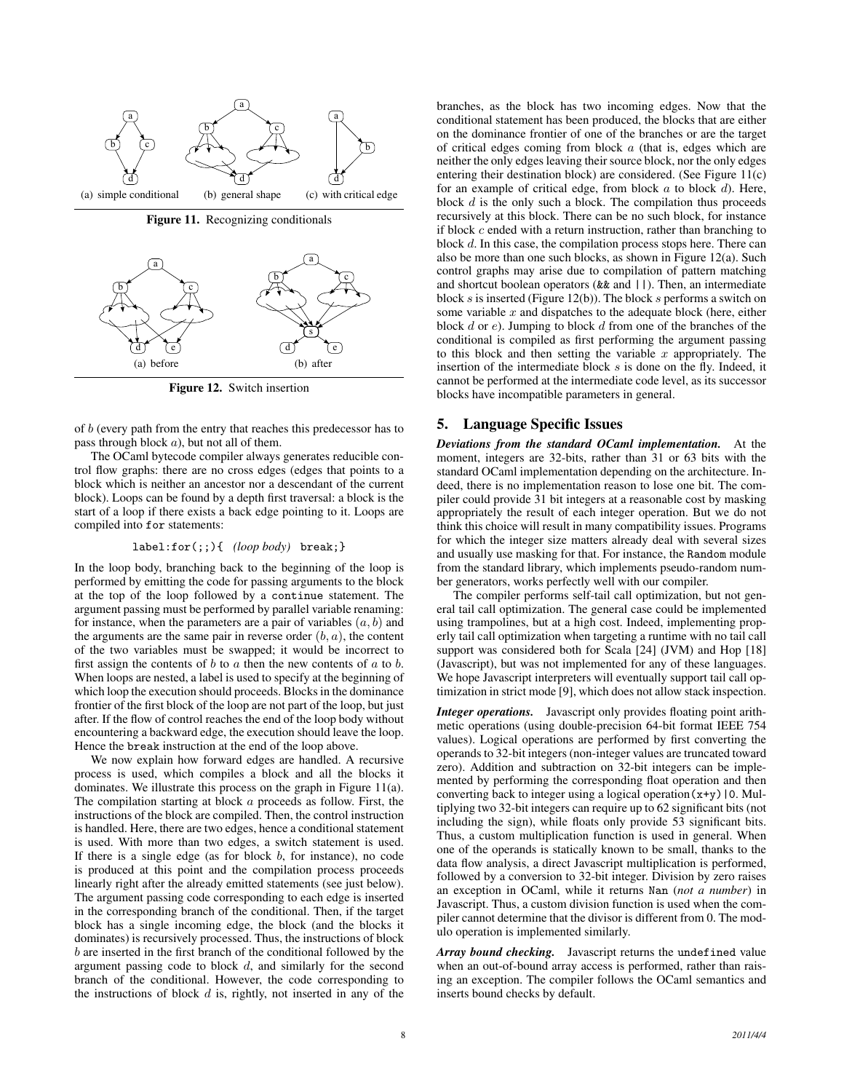

Figure 11. Recognizing conditionals



Figure 12. Switch insertion

of b (every path from the entry that reaches this predecessor has to pass through block  $a$ ), but not all of them.

The OCaml bytecode compiler always generates reducible control flow graphs: there are no cross edges (edges that points to a block which is neither an ancestor nor a descendant of the current block). Loops can be found by a depth first traversal: a block is the start of a loop if there exists a back edge pointing to it. Loops are compiled into for statements:

## label:for(;;){ *(loop body)* break;}

In the loop body, branching back to the beginning of the loop is performed by emitting the code for passing arguments to the block at the top of the loop followed by a continue statement. The argument passing must be performed by parallel variable renaming: for instance, when the parameters are a pair of variables  $(a, b)$  and the arguments are the same pair in reverse order  $(b, a)$ , the content of the two variables must be swapped; it would be incorrect to first assign the contents of  $b$  to  $a$  then the new contents of  $a$  to  $b$ . When loops are nested, a label is used to specify at the beginning of which loop the execution should proceeds. Blocks in the dominance frontier of the first block of the loop are not part of the loop, but just after. If the flow of control reaches the end of the loop body without encountering a backward edge, the execution should leave the loop. Hence the break instruction at the end of the loop above.

We now explain how forward edges are handled. A recursive process is used, which compiles a block and all the blocks it dominates. We illustrate this process on the graph in Figure 11(a). The compilation starting at block a proceeds as follow. First, the instructions of the block are compiled. Then, the control instruction is handled. Here, there are two edges, hence a conditional statement is used. With more than two edges, a switch statement is used. If there is a single edge (as for block  $b$ , for instance), no code is produced at this point and the compilation process proceeds linearly right after the already emitted statements (see just below). The argument passing code corresponding to each edge is inserted in the corresponding branch of the conditional. Then, if the target block has a single incoming edge, the block (and the blocks it dominates) is recursively processed. Thus, the instructions of block b are inserted in the first branch of the conditional followed by the argument passing code to block d, and similarly for the second branch of the conditional. However, the code corresponding to the instructions of block  $d$  is, rightly, not inserted in any of the branches, as the block has two incoming edges. Now that the conditional statement has been produced, the blocks that are either on the dominance frontier of one of the branches or are the target of critical edges coming from block  $a$  (that is, edges which are neither the only edges leaving their source block, nor the only edges entering their destination block) are considered. (See Figure 11(c) for an example of critical edge, from block  $a$  to block  $d$ ). Here, block  $d$  is the only such a block. The compilation thus proceeds recursively at this block. There can be no such block, for instance if block c ended with a return instruction, rather than branching to block d. In this case, the compilation process stops here. There can also be more than one such blocks, as shown in Figure 12(a). Such control graphs may arise due to compilation of pattern matching and shortcut boolean operators (&& and ||). Then, an intermediate block s is inserted (Figure 12(b)). The block s performs a switch on some variable  $x$  and dispatches to the adequate block (here, either block d or e). Jumping to block d from one of the branches of the conditional is compiled as first performing the argument passing to this block and then setting the variable  $x$  appropriately. The insertion of the intermediate block s is done on the fly. Indeed, it cannot be performed at the intermediate code level, as its successor blocks have incompatible parameters in general.

## 5. Language Specific Issues

*Deviations from the standard OCaml implementation.* At the moment, integers are 32-bits, rather than 31 or 63 bits with the standard OCaml implementation depending on the architecture. Indeed, there is no implementation reason to lose one bit. The compiler could provide 31 bit integers at a reasonable cost by masking appropriately the result of each integer operation. But we do not think this choice will result in many compatibility issues. Programs for which the integer size matters already deal with several sizes and usually use masking for that. For instance, the Random module from the standard library, which implements pseudo-random number generators, works perfectly well with our compiler.

The compiler performs self-tail call optimization, but not general tail call optimization. The general case could be implemented using trampolines, but at a high cost. Indeed, implementing properly tail call optimization when targeting a runtime with no tail call support was considered both for Scala [24] (JVM) and Hop [18] (Javascript), but was not implemented for any of these languages. We hope Javascript interpreters will eventually support tail call optimization in strict mode [9], which does not allow stack inspection.

*Integer operations.* Javascript only provides floating point arithmetic operations (using double-precision 64-bit format IEEE 754 values). Logical operations are performed by first converting the operands to 32-bit integers (non-integer values are truncated toward zero). Addition and subtraction on 32-bit integers can be implemented by performing the corresponding float operation and then converting back to integer using a logical operation  $(x+y)$  | 0. Multiplying two 32-bit integers can require up to 62 significant bits (not including the sign), while floats only provide 53 significant bits. Thus, a custom multiplication function is used in general. When one of the operands is statically known to be small, thanks to the data flow analysis, a direct Javascript multiplication is performed, followed by a conversion to 32-bit integer. Division by zero raises an exception in OCaml, while it returns Nan (*not a number*) in Javascript. Thus, a custom division function is used when the compiler cannot determine that the divisor is different from 0. The modulo operation is implemented similarly.

*Array bound checking.* Javascript returns the undefined value when an out-of-bound array access is performed, rather than raising an exception. The compiler follows the OCaml semantics and inserts bound checks by default.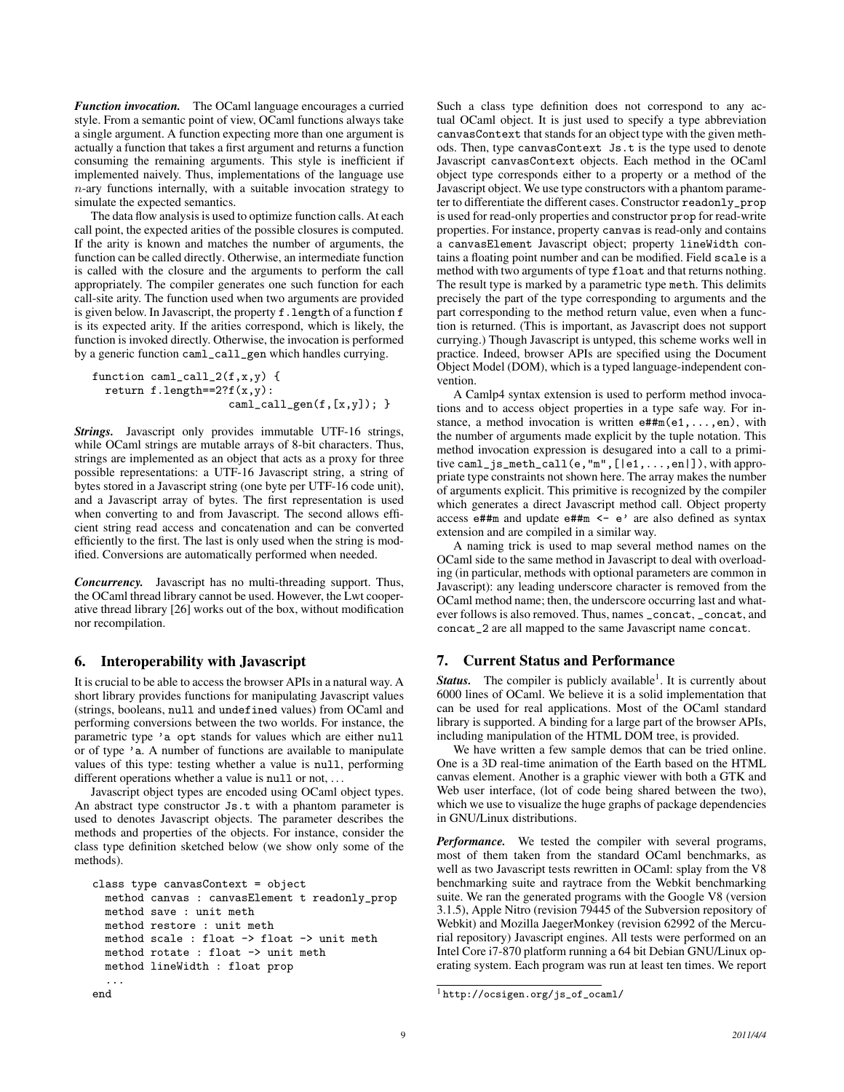*Function invocation.* The OCaml language encourages a curried style. From a semantic point of view, OCaml functions always take a single argument. A function expecting more than one argument is actually a function that takes a first argument and returns a function consuming the remaining arguments. This style is inefficient if implemented naively. Thus, implementations of the language use  $n$ -ary functions internally, with a suitable invocation strategy to simulate the expected semantics.

The data flow analysis is used to optimize function calls. At each call point, the expected arities of the possible closures is computed. If the arity is known and matches the number of arguments, the function can be called directly. Otherwise, an intermediate function is called with the closure and the arguments to perform the call appropriately. The compiler generates one such function for each call-site arity. The function used when two arguments are provided is given below. In Javascript, the property f. length of a function f is its expected arity. If the arities correspond, which is likely, the function is invoked directly. Otherwise, the invocation is performed by a generic function caml\_call\_gen which handles currying.

```
function caml_call_2(f,x,y) {
 return f.length==2?f(x,y):
                     caml_call_gen(f,[x,y]); }
```
*Strings.* Javascript only provides immutable UTF-16 strings, while OCaml strings are mutable arrays of 8-bit characters. Thus, strings are implemented as an object that acts as a proxy for three possible representations: a UTF-16 Javascript string, a string of bytes stored in a Javascript string (one byte per UTF-16 code unit), and a Javascript array of bytes. The first representation is used when converting to and from Javascript. The second allows efficient string read access and concatenation and can be converted efficiently to the first. The last is only used when the string is modified. Conversions are automatically performed when needed.

*Concurrency.* Javascript has no multi-threading support. Thus, the OCaml thread library cannot be used. However, the Lwt cooperative thread library [26] works out of the box, without modification nor recompilation.

# 6. Interoperability with Javascript

It is crucial to be able to access the browser APIs in a natural way. A short library provides functions for manipulating Javascript values (strings, booleans, null and undefined values) from OCaml and performing conversions between the two worlds. For instance, the parametric type 'a opt stands for values which are either null or of type 'a. A number of functions are available to manipulate values of this type: testing whether a value is null, performing different operations whether a value is null or not, ...

Javascript object types are encoded using OCaml object types. An abstract type constructor Js.t with a phantom parameter is used to denotes Javascript objects. The parameter describes the methods and properties of the objects. For instance, consider the class type definition sketched below (we show only some of the methods).

```
class type canvasContext = object
 method canvas : canvasElement t readonly_prop
 method save : unit meth
 method restore : unit meth
 method scale : float -> float -> unit meth
 method rotate : float -> unit meth
 method lineWidth : float prop
 ...
end
```
Such a class type definition does not correspond to any actual OCaml object. It is just used to specify a type abbreviation canvasContext that stands for an object type with the given methods. Then, type canvasContext Js.t is the type used to denote Javascript canvasContext objects. Each method in the OCaml object type corresponds either to a property or a method of the Javascript object. We use type constructors with a phantom parameter to differentiate the different cases. Constructor readonly\_prop is used for read-only properties and constructor prop for read-write properties. For instance, property canvas is read-only and contains a canvasElement Javascript object; property lineWidth contains a floating point number and can be modified. Field scale is a method with two arguments of type float and that returns nothing. The result type is marked by a parametric type meth. This delimits precisely the part of the type corresponding to arguments and the part corresponding to the method return value, even when a function is returned. (This is important, as Javascript does not support currying.) Though Javascript is untyped, this scheme works well in practice. Indeed, browser APIs are specified using the Document Object Model (DOM), which is a typed language-independent convention.

A Camlp4 syntax extension is used to perform method invocations and to access object properties in a type safe way. For instance, a method invocation is written  $e#Hm(e1,...,en)$ , with the number of arguments made explicit by the tuple notation. This method invocation expression is desugared into a call to a primitive caml\_js\_meth\_call(e,"m",[|e1,...,en|]), with appropriate type constraints not shown here. The array makes the number of arguments explicit. This primitive is recognized by the compiler which generates a direct Javascript method call. Object property access e##m and update e##m <- e' are also defined as syntax extension and are compiled in a similar way.

A naming trick is used to map several method names on the OCaml side to the same method in Javascript to deal with overloading (in particular, methods with optional parameters are common in Javascript): any leading underscore character is removed from the OCaml method name; then, the underscore occurring last and whatever follows is also removed. Thus, names \_concat, \_concat, and concat\_2 are all mapped to the same Javascript name concat.

# 7. Current Status and Performance

Status. The compiler is publicly available<sup>1</sup>. It is currently about 6000 lines of OCaml. We believe it is a solid implementation that can be used for real applications. Most of the OCaml standard library is supported. A binding for a large part of the browser APIs, including manipulation of the HTML DOM tree, is provided.

We have written a few sample demos that can be tried online. One is a 3D real-time animation of the Earth based on the HTML canvas element. Another is a graphic viewer with both a GTK and Web user interface, (lot of code being shared between the two), which we use to visualize the huge graphs of package dependencies in GNU/Linux distributions.

*Performance.* We tested the compiler with several programs, most of them taken from the standard OCaml benchmarks, as well as two Javascript tests rewritten in OCaml: splay from the V8 benchmarking suite and raytrace from the Webkit benchmarking suite. We ran the generated programs with the Google V8 (version 3.1.5), Apple Nitro (revision 79445 of the Subversion repository of Webkit) and Mozilla JaegerMonkey (revision 62992 of the Mercurial repository) Javascript engines. All tests were performed on an Intel Core i7-870 platform running a 64 bit Debian GNU/Linux operating system. Each program was run at least ten times. We report

<sup>1</sup> http://ocsigen.org/js\_of\_ocaml/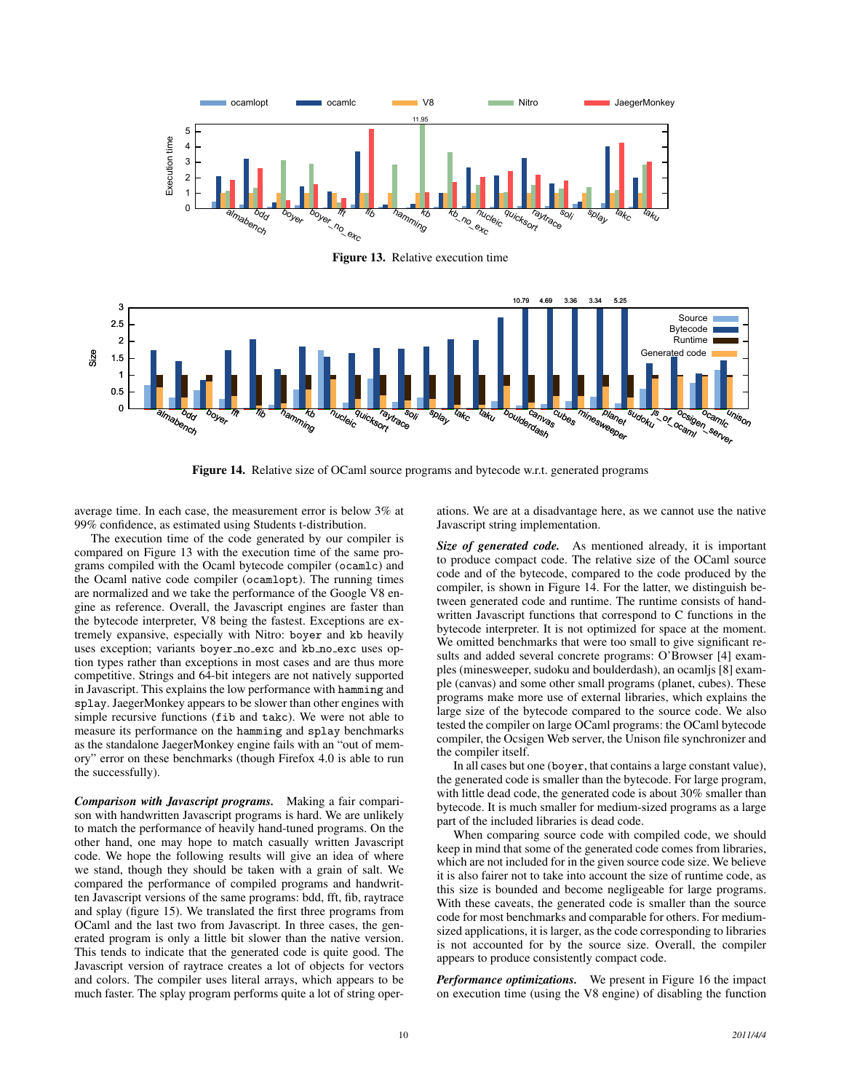

Figure 13. Relative execution time



Figure 14. Relative size of OCaml source programs and bytecode w.r.t. generated programs

average time. In each case, the measurement error is below 3% at 99% confidence, as estimated using Students t-distribution.

The execution time of the code generated by our compiler is compared on Figure 13 with the execution time of the same programs compiled with the Ocaml bytecode compiler (ocamlc) and the Ocaml native code compiler (ocamlopt). The running times are normalized and we take the performance of the Google V8 engine as reference. Overall, the Javascript engines are faster than the bytecode interpreter, V8 being the fastest. Exceptions are extremely expansive, especially with Nitro: boyer and kb heavily uses exception; variants boyer no exc and kb no exc uses option types rather than exceptions in most cases and are thus more competitive. Strings and 64-bit integers are not natively supported in Javascript. This explains the low performance with hamming and splay. JaegerMonkey appears to be slower than other engines with simple recursive functions (fib and takc). We were not able to measure its performance on the hamming and splay benchmarks as the standalone JaegerMonkey engine fails with an "out of memory" error on these benchmarks (though Firefox 4.0 is able to run the successfully).

*Comparison with Javascript programs.* Making a fair comparison with handwritten Javascript programs is hard. We are unlikely to match the performance of heavily hand-tuned programs. On the other hand, one may hope to match casually written Javascript code. We hope the following results will give an idea of where we stand, though they should be taken with a grain of salt. We compared the performance of compiled programs and handwritten Javascript versions of the same programs: bdd, fft, fib, raytrace and splay (figure 15). We translated the first three programs from OCaml and the last two from Javascript. In three cases, the generated program is only a little bit slower than the native version. This tends to indicate that the generated code is quite good. The Javascript version of raytrace creates a lot of objects for vectors and colors. The compiler uses literal arrays, which appears to be much faster. The splay program performs quite a lot of string oper-

ations. We are at a disadvantage here, as we cannot use the native Javascript string implementation.

*Size of generated code.* As mentioned already, it is important to produce compact code. The relative size of the OCaml source code and of the bytecode, compared to the code produced by the compiler, is shown in Figure 14. For the latter, we distinguish between generated code and runtime. The runtime consists of handwritten Javascript functions that correspond to C functions in the bytecode interpreter. It is not optimized for space at the moment. We omitted benchmarks that were too small to give significant results and added several concrete programs: O'Browser [4] examples (minesweeper, sudoku and boulderdash), an ocamljs [8] example (canvas) and some other small programs (planet, cubes). These programs make more use of external libraries, which explains the large size of the bytecode compared to the source code. We also tested the compiler on large OCaml programs: the OCaml bytecode compiler, the Ocsigen Web server, the Unison file synchronizer and the compiler itself.

In all cases but one (boyer, that contains a large constant value), the generated code is smaller than the bytecode. For large program, with little dead code, the generated code is about 30% smaller than bytecode. It is much smaller for medium-sized programs as a large part of the included libraries is dead code.

When comparing source code with compiled code, we should keep in mind that some of the generated code comes from libraries, which are not included for in the given source code size. We believe it is also fairer not to take into account the size of runtime code, as this size is bounded and become negligeable for large programs. With these caveats, the generated code is smaller than the source code for most benchmarks and comparable for others. For mediumsized applications, it is larger, as the code corresponding to libraries is not accounted for by the source size. Overall, the compiler appears to produce consistently compact code.

*Performance optimizations.* We present in Figure 16 the impact on execution time (using the V8 engine) of disabling the function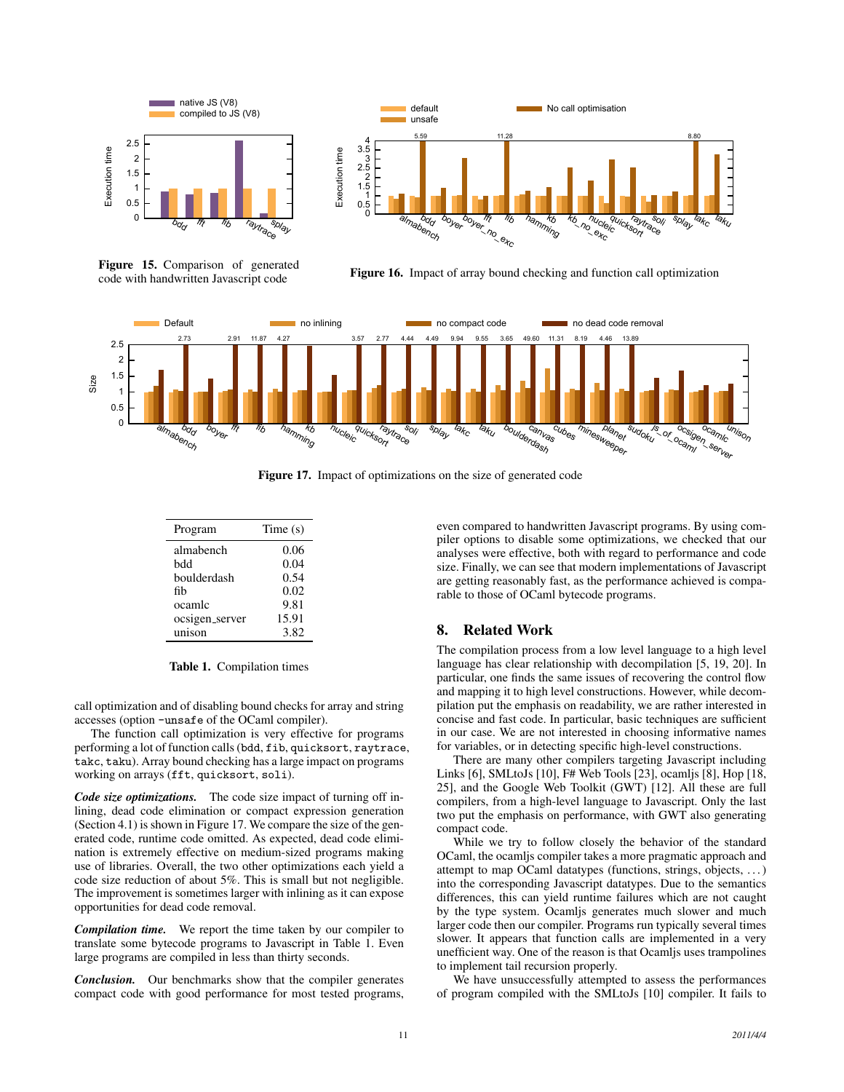

Figure 15. Comparison of generated code with handwritten Javascript code



Figure 16. Impact of array bound checking and function call optimization



Figure 17. Impact of optimizations on the size of generated code

| Program        | Time(s) |
|----------------|---------|
| almabench      | 0.06    |
| bdd            | 0.04    |
| boulderdash    | 0.54    |
| fih            | 0.02    |
| ocamlc         | 9.81    |
| ocsigen_server | 15.91   |
| unison         | 3.82    |

Table 1. Compilation times

call optimization and of disabling bound checks for array and string accesses (option -unsafe of the OCaml compiler).

The function call optimization is very effective for programs performing a lot of function calls (bdd, fib, quicksort, raytrace, takc, taku). Array bound checking has a large impact on programs working on arrays (fft, quicksort, soli).

*Code size optimizations.* The code size impact of turning off inlining, dead code elimination or compact expression generation (Section 4.1) is shown in Figure 17. We compare the size of the generated code, runtime code omitted. As expected, dead code elimination is extremely effective on medium-sized programs making use of libraries. Overall, the two other optimizations each yield a code size reduction of about 5%. This is small but not negligible. The improvement is sometimes larger with inlining as it can expose opportunities for dead code removal.

*Compilation time.* We report the time taken by our compiler to translate some bytecode programs to Javascript in Table 1. Even large programs are compiled in less than thirty seconds.

*Conclusion.* Our benchmarks show that the compiler generates compact code with good performance for most tested programs, even compared to handwritten Javascript programs. By using compiler options to disable some optimizations, we checked that our analyses were effective, both with regard to performance and code size. Finally, we can see that modern implementations of Javascript are getting reasonably fast, as the performance achieved is comparable to those of OCaml bytecode programs.

# 8. Related Work

The compilation process from a low level language to a high level language has clear relationship with decompilation [5, 19, 20]. In particular, one finds the same issues of recovering the control flow and mapping it to high level constructions. However, while decompilation put the emphasis on readability, we are rather interested in concise and fast code. In particular, basic techniques are sufficient in our case. We are not interested in choosing informative names for variables, or in detecting specific high-level constructions.

There are many other compilers targeting Javascript including Links [6], SMLtoJs [10], F# Web Tools [23], ocamljs [8], Hop [18, 25], and the Google Web Toolkit (GWT) [12]. All these are full compilers, from a high-level language to Javascript. Only the last two put the emphasis on performance, with GWT also generating compact code.

While we try to follow closely the behavior of the standard OCaml, the ocamljs compiler takes a more pragmatic approach and attempt to map OCaml datatypes (functions, strings, objects, . . . ) into the corresponding Javascript datatypes. Due to the semantics differences, this can yield runtime failures which are not caught by the type system. Ocamljs generates much slower and much larger code then our compiler. Programs run typically several times slower. It appears that function calls are implemented in a very unefficient way. One of the reason is that Ocamljs uses trampolines to implement tail recursion properly.

We have unsuccessfully attempted to assess the performances of program compiled with the SMLtoJs [10] compiler. It fails to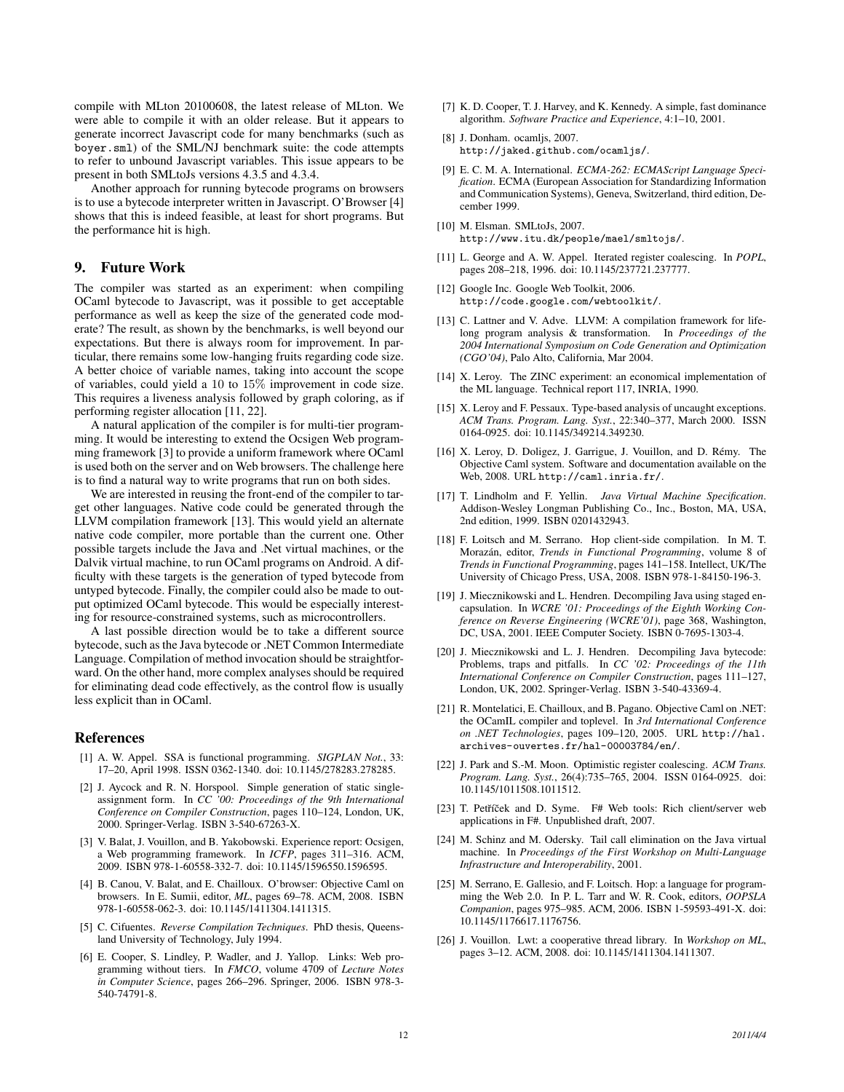compile with MLton 20100608, the latest release of MLton. We were able to compile it with an older release. But it appears to generate incorrect Javascript code for many benchmarks (such as boyer.sml) of the SML/NJ benchmark suite: the code attempts to refer to unbound Javascript variables. This issue appears to be present in both SMLtoJs versions 4.3.5 and 4.3.4.

Another approach for running bytecode programs on browsers is to use a bytecode interpreter written in Javascript. O'Browser [4] shows that this is indeed feasible, at least for short programs. But the performance hit is high.

## 9. Future Work

The compiler was started as an experiment: when compiling OCaml bytecode to Javascript, was it possible to get acceptable performance as well as keep the size of the generated code moderate? The result, as shown by the benchmarks, is well beyond our expectations. But there is always room for improvement. In particular, there remains some low-hanging fruits regarding code size. A better choice of variable names, taking into account the scope of variables, could yield a 10 to 15% improvement in code size. This requires a liveness analysis followed by graph coloring, as if performing register allocation [11, 22].

A natural application of the compiler is for multi-tier programming. It would be interesting to extend the Ocsigen Web programming framework [3] to provide a uniform framework where OCaml is used both on the server and on Web browsers. The challenge here is to find a natural way to write programs that run on both sides.

We are interested in reusing the front-end of the compiler to target other languages. Native code could be generated through the LLVM compilation framework [13]. This would yield an alternate native code compiler, more portable than the current one. Other possible targets include the Java and .Net virtual machines, or the Dalvik virtual machine, to run OCaml programs on Android. A difficulty with these targets is the generation of typed bytecode from untyped bytecode. Finally, the compiler could also be made to output optimized OCaml bytecode. This would be especially interesting for resource-constrained systems, such as microcontrollers.

A last possible direction would be to take a different source bytecode, such as the Java bytecode or .NET Common Intermediate Language. Compilation of method invocation should be straightforward. On the other hand, more complex analyses should be required for eliminating dead code effectively, as the control flow is usually less explicit than in OCaml.

#### References

- [1] A. W. Appel. SSA is functional programming. *SIGPLAN Not.*, 33: 17–20, April 1998. ISSN 0362-1340. doi: 10.1145/278283.278285.
- [2] J. Aycock and R. N. Horspool. Simple generation of static singleassignment form. In *CC '00: Proceedings of the 9th International Conference on Compiler Construction*, pages 110–124, London, UK, 2000. Springer-Verlag. ISBN 3-540-67263-X.
- [3] V. Balat, J. Vouillon, and B. Yakobowski. Experience report: Ocsigen, a Web programming framework. In *ICFP*, pages 311–316. ACM, 2009. ISBN 978-1-60558-332-7. doi: 10.1145/1596550.1596595.
- [4] B. Canou, V. Balat, and E. Chailloux. O'browser: Objective Caml on browsers. In E. Sumii, editor, *ML*, pages 69–78. ACM, 2008. ISBN 978-1-60558-062-3. doi: 10.1145/1411304.1411315.
- [5] C. Cifuentes. *Reverse Compilation Techniques*. PhD thesis, Queensland University of Technology, July 1994.
- [6] E. Cooper, S. Lindley, P. Wadler, and J. Yallop. Links: Web programming without tiers. In *FMCO*, volume 4709 of *Lecture Notes in Computer Science*, pages 266–296. Springer, 2006. ISBN 978-3- 540-74791-8.
- [7] K. D. Cooper, T. J. Harvey, and K. Kennedy. A simple, fast dominance algorithm. *Software Practice and Experience*, 4:1–10, 2001.
- [8] J. Donham. ocamljs, 2007. http://jaked.github.com/ocamljs/.
- [9] E. C. M. A. International. *ECMA-262: ECMAScript Language Specification*. ECMA (European Association for Standardizing Information and Communication Systems), Geneva, Switzerland, third edition, December 1999.
- [10] M. Elsman. SMLtoJs, 2007. http://www.itu.dk/people/mael/smltojs/.
- [11] L. George and A. W. Appel. Iterated register coalescing. In *POPL*, pages 208–218, 1996. doi: 10.1145/237721.237777.
- [12] Google Inc. Google Web Toolkit, 2006. http://code.google.com/webtoolkit/.
- [13] C. Lattner and V. Adve. LLVM: A compilation framework for lifelong program analysis & transformation. In *Proceedings of the 2004 International Symposium on Code Generation and Optimization (CGO'04)*, Palo Alto, California, Mar 2004.
- [14] X. Leroy. The ZINC experiment: an economical implementation of the ML language. Technical report 117, INRIA, 1990.
- [15] X. Leroy and F. Pessaux. Type-based analysis of uncaught exceptions. *ACM Trans. Program. Lang. Syst.*, 22:340–377, March 2000. ISSN 0164-0925. doi: 10.1145/349214.349230.
- [16] X. Leroy, D. Doligez, J. Garrigue, J. Vouillon, and D. Rémy. The Objective Caml system. Software and documentation available on the Web, 2008. URL http://caml.inria.fr/.
- [17] T. Lindholm and F. Yellin. *Java Virtual Machine Specification*. Addison-Wesley Longman Publishing Co., Inc., Boston, MA, USA, 2nd edition, 1999. ISBN 0201432943.
- [18] F. Loitsch and M. Serrano. Hop client-side compilation. In M. T. Morazán, editor, *Trends in Functional Programming*, volume 8 of *Trends in Functional Programming*, pages 141–158. Intellect, UK/The University of Chicago Press, USA, 2008. ISBN 978-1-84150-196-3.
- [19] J. Miecznikowski and L. Hendren. Decompiling Java using staged encapsulation. In *WCRE '01: Proceedings of the Eighth Working Conference on Reverse Engineering (WCRE'01)*, page 368, Washington, DC, USA, 2001. IEEE Computer Society. ISBN 0-7695-1303-4.
- [20] J. Miecznikowski and L. J. Hendren. Decompiling Java bytecode: Problems, traps and pitfalls. In *CC '02: Proceedings of the 11th International Conference on Compiler Construction*, pages 111–127, London, UK, 2002. Springer-Verlag. ISBN 3-540-43369-4.
- [21] R. Montelatici, E. Chailloux, and B. Pagano. Objective Caml on .NET: the OCamIL compiler and toplevel. In *3rd International Conference on .NET Technologies*, pages 109–120, 2005. URL http://hal. archives-ouvertes.fr/hal-00003784/en/.
- [22] J. Park and S.-M. Moon. Optimistic register coalescing. *ACM Trans. Program. Lang. Syst.*, 26(4):735–765, 2004. ISSN 0164-0925. doi: 10.1145/1011508.1011512.
- [23] T. Petříček and D. Syme. F# Web tools: Rich client/server web applications in F#. Unpublished draft, 2007.
- [24] M. Schinz and M. Odersky. Tail call elimination on the Java virtual machine. In *Proceedings of the First Workshop on Multi-Language Infrastructure and Interoperability*, 2001.
- [25] M. Serrano, E. Gallesio, and F. Loitsch. Hop: a language for programming the Web 2.0. In P. L. Tarr and W. R. Cook, editors, *OOPSLA Companion*, pages 975–985. ACM, 2006. ISBN 1-59593-491-X. doi: 10.1145/1176617.1176756.
- [26] J. Vouillon. Lwt: a cooperative thread library. In *Workshop on ML*, pages 3–12. ACM, 2008. doi: 10.1145/1411304.1411307.